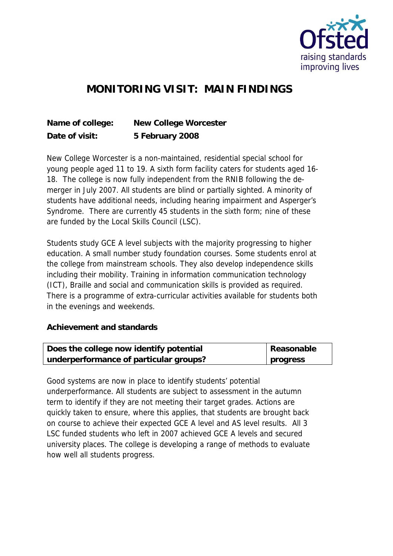

## **MONITORING VISIT: MAIN FINDINGS**

| Name of college: | New College Worcester |
|------------------|-----------------------|
| Date of visit:   | 5 February 2008       |

New College Worcester is a non-maintained, residential special school for young people aged 11 to 19. A sixth form facility caters for students aged 16- 18. The college is now fully independent from the RNIB following the demerger in July 2007. All students are blind or partially sighted. A minority of students have additional needs, including hearing impairment and Asperger's Syndrome. There are currently 45 students in the sixth form; nine of these are funded by the Local Skills Council (LSC).

Students study GCE A level subjects with the majority progressing to higher education. A small number study foundation courses. Some students enrol at the college from mainstream schools. They also develop independence skills including their mobility. Training in information communication technology (ICT), Braille and social and communication skills is provided as required. There is a programme of extra-curricular activities available for students both in the evenings and weekends.

**Achievement and standards** 

| Does the college now identify potential | Reasonable |
|-----------------------------------------|------------|
| underperformance of particular groups?  | progress   |

Good systems are now in place to identify students' potential underperformance. All students are subject to assessment in the autumn term to identify if they are not meeting their target grades. Actions are quickly taken to ensure, where this applies, that students are brought back on course to achieve their expected GCE A level and AS level results. All 3 LSC funded students who left in 2007 achieved GCE A levels and secured university places. The college is developing a range of methods to evaluate how well all students progress.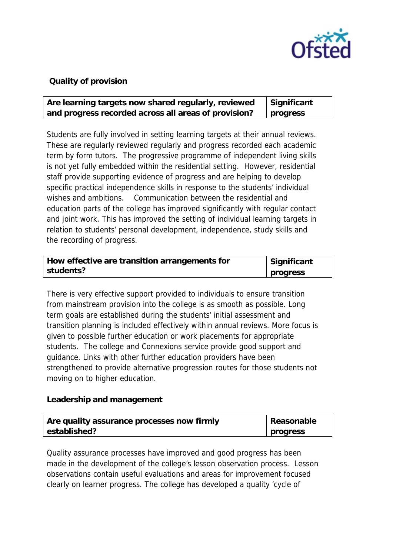

## **Quality of provision**

| Are learning targets now shared regularly, reviewed  | Significant |
|------------------------------------------------------|-------------|
| and progress recorded across all areas of provision? | progress    |

Students are fully involved in setting learning targets at their annual reviews. These are regularly reviewed regularly and progress recorded each academic term by form tutors. The progressive programme of independent living skills is not yet fully embedded within the residential setting. However, residential staff provide supporting evidence of progress and are helping to develop specific practical independence skills in response to the students' individual wishes and ambitions. Communication between the residential and education parts of the college has improved significantly with regular contact and joint work. This has improved the setting of individual learning targets in relation to students' personal development, independence, study skills and the recording of progress.

| How effective are transition arrangements for | Significant |
|-----------------------------------------------|-------------|
| students?                                     | progress    |

There is very effective support provided to individuals to ensure transition from mainstream provision into the college is as smooth as possible. Long term goals are established during the students' initial assessment and transition planning is included effectively within annual reviews. More focus is given to possible further education or work placements for appropriate students. The college and Connexions service provide good support and guidance. Links with other further education providers have been strengthened to provide alternative progression routes for those students not moving on to higher education.

## **Leadership and management**

| Are quality assurance processes now firmly | Reasonable |
|--------------------------------------------|------------|
| established?                               | progress   |

Quality assurance processes have improved and good progress has been made in the development of the college's lesson observation process. Lesson observations contain useful evaluations and areas for improvement focused clearly on learner progress. The college has developed a quality 'cycle of